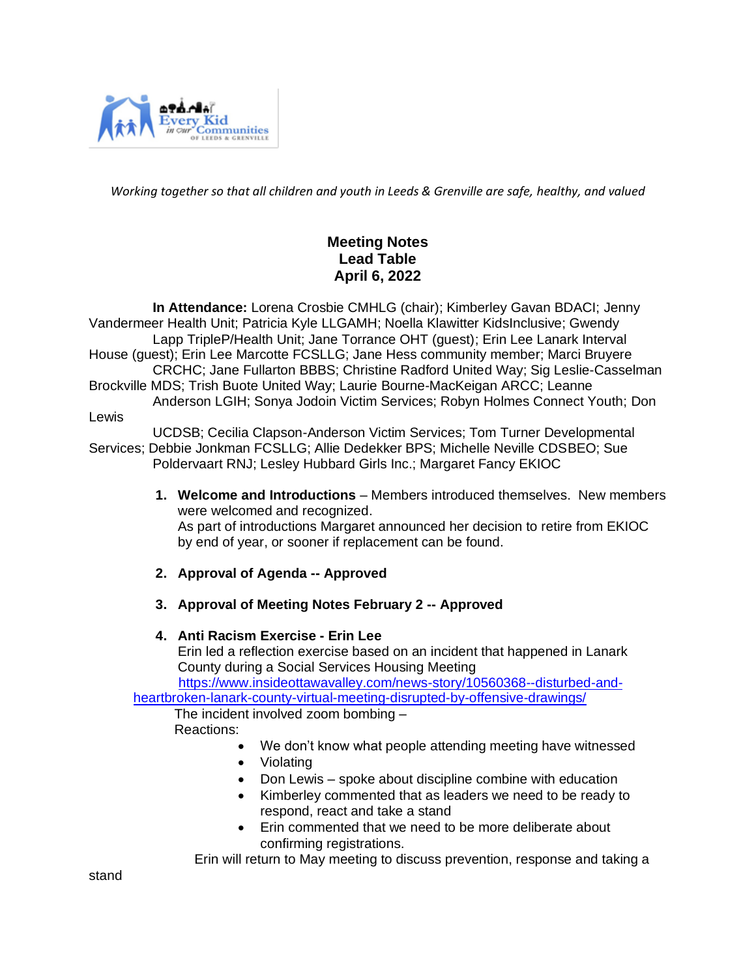

*Working together so that all children and youth in Leeds & Grenville are safe, healthy, and valued*

# **Meeting Notes Lead Table April 6, 2022**

 **In Attendance:** Lorena Crosbie CMHLG (chair); Kimberley Gavan BDACI; Jenny Vandermeer Health Unit; Patricia Kyle LLGAMH; Noella Klawitter KidsInclusive; Gwendy Lapp TripleP/Health Unit; Jane Torrance OHT (guest); Erin Lee Lanark Interval House (guest); Erin Lee Marcotte FCSLLG; Jane Hess community member; Marci Bruyere CRCHC; Jane Fullarton BBBS; Christine Radford United Way; Sig Leslie-Casselman Brockville MDS; Trish Buote United Way; Laurie Bourne-MacKeigan ARCC; Leanne Anderson LGIH; Sonya Jodoin Victim Services; Robyn Holmes Connect Youth; Don Lewis

 UCDSB; Cecilia Clapson-Anderson Victim Services; Tom Turner Developmental Services; Debbie Jonkman FCSLLG; Allie Dedekker BPS; Michelle Neville CDSBEO; Sue Poldervaart RNJ; Lesley Hubbard Girls Inc.; Margaret Fancy EKIOC

- **1. Welcome and Introductions**  Members introduced themselves. New members were welcomed and recognized. As part of introductions Margaret announced her decision to retire from EKIOC by end of year, or sooner if replacement can be found.
- **2. Approval of Agenda -- Approved**
- **3. Approval of Meeting Notes February 2 -- Approved**

#### **4. Anti Racism Exercise - Erin Lee**

Erin led a reflection exercise based on an incident that happened in Lanark County during a Social Services Housing Meeting

 [https://www.insideottawavalley.com/news-story/10560368--disturbed-and](https://can01.safelinks.protection.outlook.com/?url=https%3A%2F%2Fwww.insideottawavalley.com%2Fnews-story%2F10560368--disturbed-and-heartbroken-lanark-county-virtual-meeting-disrupted-by-offensive-drawings%2F&data=04%7C01%7Ccoordinator%40cmhlg.ca%7Cff8d77b57915434406f008d9f7af488b%7C8fcec33ca081439db2ccde219ad27b4b%7C0%7C0%7C637813154496886745%7CUnknown%7CTWFpbGZsb3d8eyJWIjoiMC4wLjAwMDAiLCJQIjoiV2luMzIiLCJBTiI6Ik1haWwiLCJXVCI6Mn0%3D%7C3000&sdata=2zSqrICrtRJ4%2BwFfTIET5hhkwHYheQoXCGbWaHzZtZY%3D&reserved=0)[heartbroken-lanark-county-virtual-meeting-disrupted-by-offensive-drawings/](https://can01.safelinks.protection.outlook.com/?url=https%3A%2F%2Fwww.insideottawavalley.com%2Fnews-story%2F10560368--disturbed-and-heartbroken-lanark-county-virtual-meeting-disrupted-by-offensive-drawings%2F&data=04%7C01%7Ccoordinator%40cmhlg.ca%7Cff8d77b57915434406f008d9f7af488b%7C8fcec33ca081439db2ccde219ad27b4b%7C0%7C0%7C637813154496886745%7CUnknown%7CTWFpbGZsb3d8eyJWIjoiMC4wLjAwMDAiLCJQIjoiV2luMzIiLCJBTiI6Ik1haWwiLCJXVCI6Mn0%3D%7C3000&sdata=2zSqrICrtRJ4%2BwFfTIET5hhkwHYheQoXCGbWaHzZtZY%3D&reserved=0)

 The incident involved zoom bombing – Reactions:

- We don't know what people attending meeting have witnessed
- Violating
- Don Lewis spoke about discipline combine with education
- Kimberley commented that as leaders we need to be ready to respond, react and take a stand
- Erin commented that we need to be more deliberate about confirming registrations.

Erin will return to May meeting to discuss prevention, response and taking a

stand